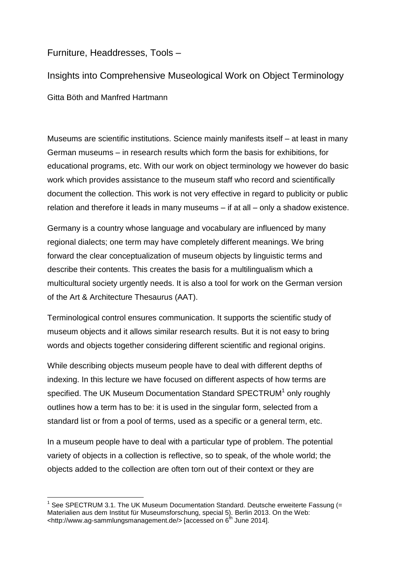## Furniture, Headdresses, Tools –

Insights into Comprehensive Museological Work on Object Terminology Gitta Böth and Manfred Hartmann

Museums are scientific institutions. Science mainly manifests itself – at least in many German museums – in research results which form the basis for exhibitions, for educational programs, etc. With our work on object terminology we however do basic work which provides assistance to the museum staff who record and scientifically document the collection. This work is not very effective in regard to publicity or public relation and therefore it leads in many museums – if at all – only a shadow existence.

Germany is a country whose language and vocabulary are influenced by many regional dialects; one term may have completely different meanings. We bring forward the clear conceptualization of museum objects by linguistic terms and describe their contents. This creates the basis for a multilingualism which a multicultural society urgently needs. It is also a tool for work on the German version of the Art & Architecture Thesaurus (AAT).

Terminological control ensures communication. It supports the scientific study of museum objects and it allows similar research results. But it is not easy to bring words and objects together considering different scientific and regional origins.

While describing objects museum people have to deal with different depths of indexing. In this lecture we have focused on different aspects of how terms are specified. The UK Museum Documentation Standard SPECTRUM<sup>1</sup> only roughly outlines how a term has to be: it is used in the singular form, selected from a standard list or from a pool of terms, used as a specific or a general term, etc.

In a museum people have to deal with a particular type of problem. The potential variety of objects in a collection is reflective, so to speak, of the whole world; the objects added to the collection are often torn out of their context or they are

 1 See SPECTRUM 3.1. The UK Museum Documentation Standard. Deutsche erweiterte Fassung (= Materialien aus dem Institut für Museumsforschung, special 5). Berlin 2013. On the Web: <http://www.ag-sammlungsmanagement.de/> [accessed on 6<sup>th</sup> June 2014].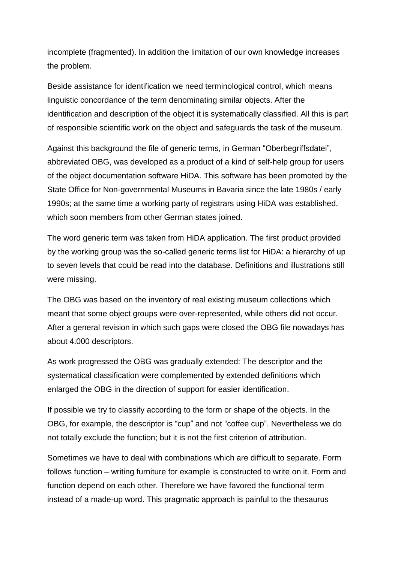incomplete (fragmented). In addition the limitation of our own knowledge increases the problem.

Beside assistance for identification we need terminological control, which means linguistic concordance of the term denominating similar objects. After the identification and description of the object it is systematically classified. All this is part of responsible scientific work on the object and safeguards the task of the museum.

Against this background the file of generic terms, in German "Oberbegriffsdatei", abbreviated OBG, was developed as a product of a kind of self-help group for users of the object documentation software HiDA. This software has been promoted by the State Office for Non-governmental Museums in Bavaria since the late 1980s / early 1990s; at the same time a working party of registrars using HiDA was established, which soon members from other German states joined.

The word generic term was taken from HiDA application. The first product provided by the working group was the so-called generic terms list for HiDA: a hierarchy of up to seven levels that could be read into the database. Definitions and illustrations still were missing.

The OBG was based on the inventory of real existing museum collections which meant that some object groups were over-represented, while others did not occur. After a general revision in which such gaps were closed the OBG file nowadays has about 4.000 descriptors.

As work progressed the OBG was gradually extended: The descriptor and the systematical classification were complemented by extended definitions which enlarged the OBG in the direction of support for easier identification.

If possible we try to classify according to the form or shape of the objects. In the OBG, for example, the descriptor is "cup" and not "coffee cup". Nevertheless we do not totally exclude the function; but it is not the first criterion of attribution.

Sometimes we have to deal with combinations which are difficult to separate. Form follows function – writing furniture for example is constructed to write on it. Form and function depend on each other. Therefore we have favored the functional term instead of a made-up word. This pragmatic approach is painful to the thesaurus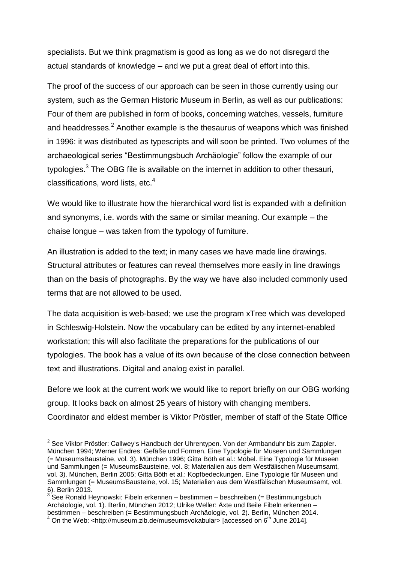specialists. But we think pragmatism is good as long as we do not disregard the actual standards of knowledge – and we put a great deal of effort into this.

The proof of the success of our approach can be seen in those currently using our system, such as the German Historic Museum in Berlin, as well as our publications: Four of them are published in form of books, concerning watches, vessels, furniture and headdresses. $<sup>2</sup>$  Another example is the thesaurus of weapons which was finished</sup> in 1996: it was distributed as typescripts and will soon be printed. Two volumes of the archaeological series "Bestimmungsbuch Archäologie" follow the example of our typologies.<sup>3</sup> The OBG file is available on the internet in addition to other thesauri, classifications, word lists, etc. $4$ 

We would like to illustrate how the hierarchical word list is expanded with a definition and synonyms, i.e. words with the same or similar meaning. Our example – the chaise longue – was taken from the typology of furniture.

An illustration is added to the text; in many cases we have made line drawings. Structural attributes or features can reveal themselves more easily in line drawings than on the basis of photographs. By the way we have also included commonly used terms that are not allowed to be used.

The data acquisition is web-based; we use the program xTree which was developed in Schleswig-Holstein. Now the vocabulary can be edited by any internet-enabled workstation; this will also facilitate the preparations for the publications of our typologies. The book has a value of its own because of the close connection between text and illustrations. Digital and analog exist in parallel.

Before we look at the current work we would like to report briefly on our OBG working group. It looks back on almost 25 years of history with changing members. Coordinator and eldest member is Viktor Pröstler, member of staff of the State Office

 2 See Viktor Pröstler: Callwey's Handbuch der Uhrentypen. Von der Armbanduhr bis zum Zappler. München 1994; Werner Endres: Gefäße und Formen. Eine Typologie für Museen und Sammlungen (= MuseumsBausteine, vol. 3). München 1996; Gitta Böth et al.: Möbel. Eine Typologie für Museen und Sammlungen (= MuseumsBausteine, vol. 8; Materialien aus dem Westfälischen Museumsamt, vol. 3). München, Berlin 2005; Gitta Böth et al.: Kopfbedeckungen. Eine Typologie für Museen und Sammlungen (= MuseumsBausteine, vol. 15; Materialien aus dem Westfälischen Museumsamt, vol. 6). Berlin 2013.

 $3^{3}$ See Ronald Heynowski: Fibeln erkennen – bestimmen – beschreiben (= Bestimmungsbuch Archäologie, vol. 1). Berlin, München 2012; Ulrike Weller: Äxte und Beile Fibeln erkennen – bestimmen – beschreiben (= Bestimmungsbuch Archäologie, vol. 2). Berlin, München 2014.

 $4$  On the Web: <http://museum.zib.de/museumsvokabular> [accessed on 6<sup>th</sup> June 2014].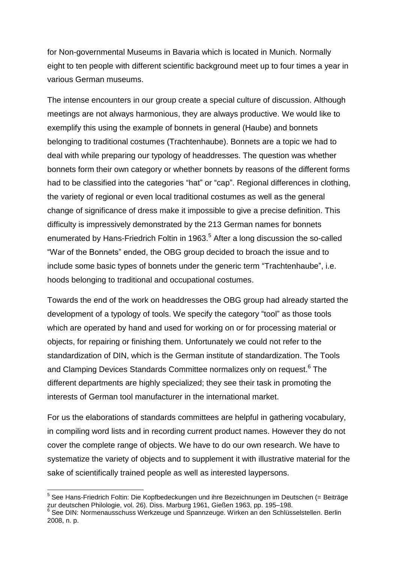for Non-governmental Museums in Bavaria which is located in Munich. Normally eight to ten people with different scientific background meet up to four times a year in various German museums.

The intense encounters in our group create a special culture of discussion. Although meetings are not always harmonious, they are always productive. We would like to exemplify this using the example of bonnets in general (Haube) and bonnets belonging to traditional costumes (Trachtenhaube). Bonnets are a topic we had to deal with while preparing our typology of headdresses. The question was whether bonnets form their own category or whether bonnets by reasons of the different forms had to be classified into the categories "hat" or "cap". Regional differences in clothing, the variety of regional or even local traditional costumes as well as the general change of significance of dress make it impossible to give a precise definition. This difficulty is impressively demonstrated by the 213 German names for bonnets enumerated by Hans-Friedrich Foltin in 1963.<sup>5</sup> After a long discussion the so-called "War of the Bonnets" ended, the OBG group decided to broach the issue and to include some basic types of bonnets under the generic term "Trachtenhaube", i.e. hoods belonging to traditional and occupational costumes.

Towards the end of the work on headdresses the OBG group had already started the development of a typology of tools. We specify the category "tool" as those tools which are operated by hand and used for working on or for processing material or objects, for repairing or finishing them. Unfortunately we could not refer to the standardization of DIN, which is the German institute of standardization. The Tools and Clamping Devices Standards Committee normalizes only on request.<sup>6</sup> The different departments are highly specialized; they see their task in promoting the interests of German tool manufacturer in the international market.

For us the elaborations of standards committees are helpful in gathering vocabulary, in compiling word lists and in recording current product names. However they do not cover the complete range of objects. We have to do our own research. We have to systematize the variety of objects and to supplement it with illustrative material for the sake of scientifically trained people as well as interested laypersons.

1

<sup>&</sup>lt;sup>5</sup> See Hans-Friedrich Foltin: Die Kopfbedeckungen und ihre Bezeichnungen im Deutschen (= Beiträge zur deutschen Philologie, vol. 26). Diss. Marburg 1961, Gießen 1963, pp. 195–198. <sup>6</sup> See DIN: Normenausschuss Werkzeuge und Spannzeuge. Wirken an den Schlüsselstellen. Berlin

<sup>2008,</sup> n. p.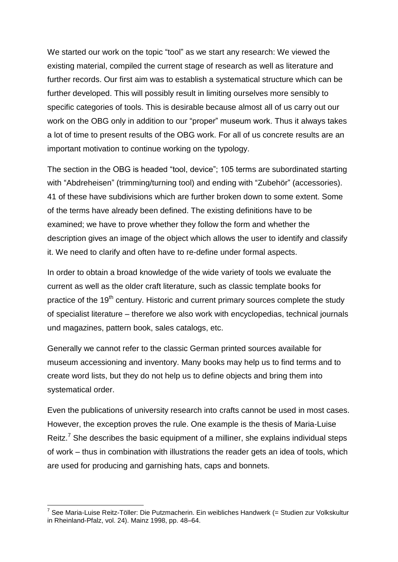We started our work on the topic "tool" as we start any research: We viewed the existing material, compiled the current stage of research as well as literature and further records. Our first aim was to establish a systematical structure which can be further developed. This will possibly result in limiting ourselves more sensibly to specific categories of tools. This is desirable because almost all of us carry out our work on the OBG only in addition to our "proper" museum work. Thus it always takes a lot of time to present results of the OBG work. For all of us concrete results are an important motivation to continue working on the typology.

The section in the OBG is headed "tool, device"; 105 terms are subordinated starting with "Abdreheisen" (trimming/turning tool) and ending with "Zubehör" (accessories). 41 of these have subdivisions which are further broken down to some extent. Some of the terms have already been defined. The existing definitions have to be examined; we have to prove whether they follow the form and whether the description gives an image of the object which allows the user to identify and classify it. We need to clarify and often have to re-define under formal aspects.

In order to obtain a broad knowledge of the wide variety of tools we evaluate the current as well as the older craft literature, such as classic template books for practice of the 19<sup>th</sup> century. Historic and current primary sources complete the study of specialist literature – therefore we also work with encyclopedias, technical journals und magazines, pattern book, sales catalogs, etc.

Generally we cannot refer to the classic German printed sources available for museum accessioning and inventory. Many books may help us to find terms and to create word lists, but they do not help us to define objects and bring them into systematical order.

Even the publications of university research into crafts cannot be used in most cases. However, the exception proves the rule. One example is the thesis of Maria-Luise Reitz.<sup>7</sup> She describes the basic equipment of a milliner, she explains individual steps of work – thus in combination with illustrations the reader gets an idea of tools, which are used for producing and garnishing hats, caps and bonnets.

\_\_\_\_\_\_\_\_\_\_\_\_\_\_\_\_\_\_\_\_\_\_\_\_\_\_\_\_\_\_\_\_\_\_\_\_\_<br><sup>7</sup> See Maria-Luise Reitz-Töller: Die Putzmacherin. Ein weibliches Handwerk (= Studien zur Volkskultur in Rheinland-Pfalz, vol. 24). Mainz 1998, pp. 48–64.